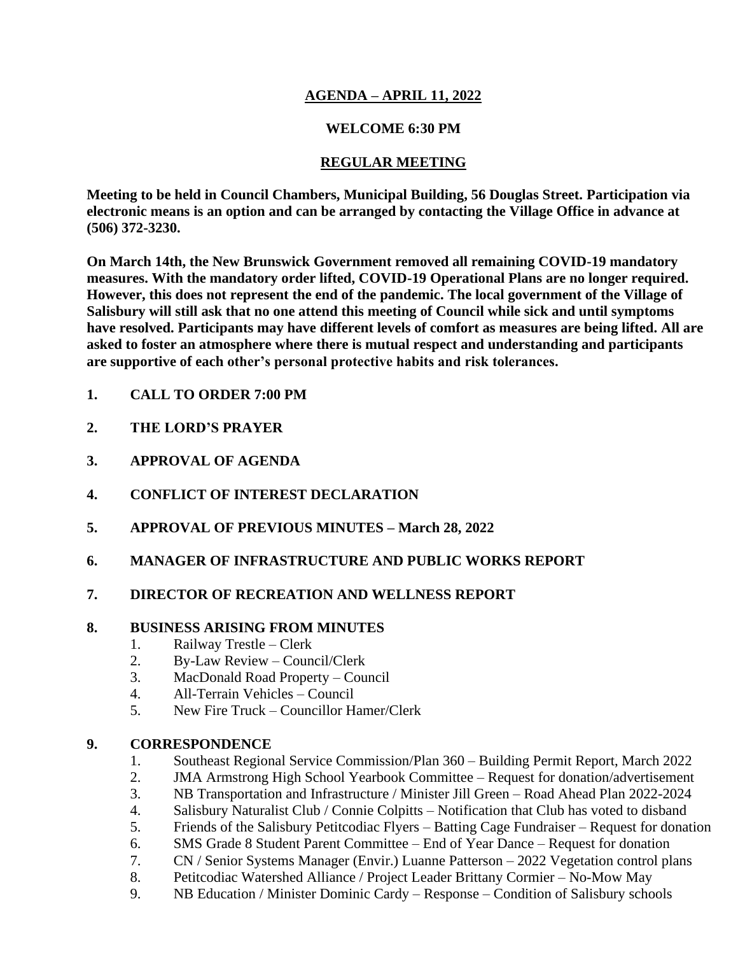## **AGENDA – APRIL 11, 2022**

## **WELCOME 6:30 PM**

## **REGULAR MEETING**

**Meeting to be held in Council Chambers, Municipal Building, 56 Douglas Street. Participation via electronic means is an option and can be arranged by contacting the Village Office in advance at (506) 372-3230.**

**On March 14th, the New Brunswick Government removed all remaining COVID-19 mandatory measures. With the mandatory order lifted, COVID-19 Operational Plans are no longer required. However, this does not represent the end of the pandemic. The local government of the Village of Salisbury will still ask that no one attend this meeting of Council while sick and until symptoms have resolved. Participants may have different levels of comfort as measures are being lifted. All are asked to foster an atmosphere where there is mutual respect and understanding and participants are supportive of each other's personal protective habits and risk tolerances.**

- **1. CALL TO ORDER 7:00 PM**
- **2. THE LORD'S PRAYER**
- **3. APPROVAL OF AGENDA**
- **4. CONFLICT OF INTEREST DECLARATION**
- **5. APPROVAL OF PREVIOUS MINUTES – March 28, 2022**
- **6. MANAGER OF INFRASTRUCTURE AND PUBLIC WORKS REPORT**
- **7. DIRECTOR OF RECREATION AND WELLNESS REPORT**

## **8. BUSINESS ARISING FROM MINUTES**

- 1. Railway Trestle Clerk
- 2. By-Law Review Council/Clerk
- 3. MacDonald Road Property Council
- 4. All-Terrain Vehicles Council
- 5. New Fire Truck Councillor Hamer/Clerk

## **9. CORRESPONDENCE**

- 1. Southeast Regional Service Commission/Plan 360 Building Permit Report, March 2022
- 2. JMA Armstrong High School Yearbook Committee Request for donation/advertisement
- 3. NB Transportation and Infrastructure / Minister Jill Green Road Ahead Plan 2022-2024
- 4. Salisbury Naturalist Club / Connie Colpitts Notification that Club has voted to disband
- 5. Friends of the Salisbury Petitcodiac Flyers Batting Cage Fundraiser Request for donation
- 6. SMS Grade 8 Student Parent Committee End of Year Dance Request for donation
- 7. CN / Senior Systems Manager (Envir.) Luanne Patterson 2022 Vegetation control plans
- 8. Petitcodiac Watershed Alliance / Project Leader Brittany Cormier No-Mow May
- 9. NB Education / Minister Dominic Cardy Response Condition of Salisbury schools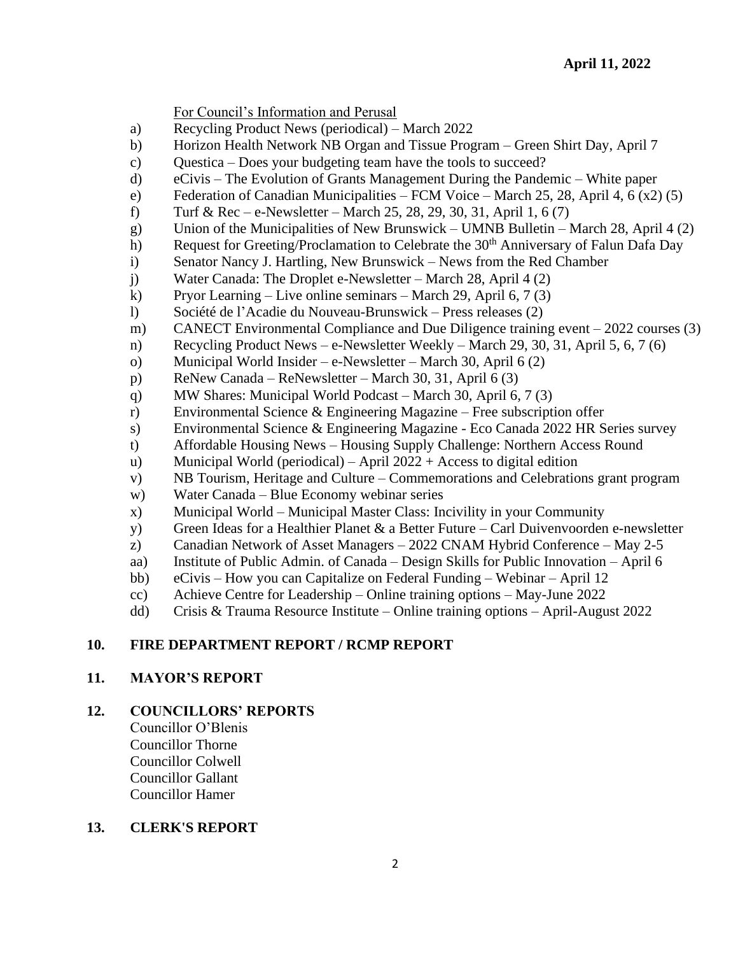For Council's Information and Perusal

- a) Recycling Product News (periodical) March 2022
- b) Horizon Health Network NB Organ and Tissue Program Green Shirt Day, April 7
- c) Questica Does your budgeting team have the tools to succeed?
- d) eCivis The Evolution of Grants Management During the Pandemic White paper
- e) Federation of Canadian Municipalities FCM Voice March 25, 28, April 4, 6 (x2) (5)
- f) Turf & Rec e-Newsletter March 25, 28, 29, 30, 31, April 1, 6  $(7)$
- g) Union of the Municipalities of New Brunswick UMNB Bulletin March 28, April 4 (2)
- h) Request for Greeting/Proclamation to Celebrate the 30<sup>th</sup> Anniversary of Falun Dafa Day
- i) Senator Nancy J. Hartling, New Brunswick News from the Red Chamber
- j) Water Canada: The Droplet e-Newsletter March 28, April 4 (2)
- k) Pryor Learning Live online seminars March 29, April 6, 7 (3)
- l) Société de l'Acadie du Nouveau-Brunswick Press releases (2)
- m) CANECT Environmental Compliance and Due Diligence training event 2022 courses (3)
- n) Recycling Product News e-Newsletter Weekly March 29, 30, 31, April 5, 6, 7 (6)
- o) Municipal World Insider e-Newsletter March 30, April 6 (2)
- p) ReNew Canada ReNewsletter March 30, 31, April 6 (3)
- q) MW Shares: Municipal World Podcast March 30, April 6, 7 (3)
- r) Environmental Science & Engineering Magazine Free subscription offer
- s) Environmental Science & Engineering Magazine Eco Canada 2022 HR Series survey
- t) Affordable Housing News Housing Supply Challenge: Northern Access Round
- u) Municipal World (periodical) April 2022 + Access to digital edition
- v) NB Tourism, Heritage and Culture Commemorations and Celebrations grant program
- w) Water Canada Blue Economy webinar series
- x) Municipal World Municipal Master Class: Incivility in your Community
- y) Green Ideas for a Healthier Planet & a Better Future Carl Duivenvoorden e-newsletter
- z) Canadian Network of Asset Managers 2022 CNAM Hybrid Conference May 2-5
- aa) Institute of Public Admin. of Canada Design Skills for Public Innovation April 6
- bb) eCivis How you can Capitalize on Federal Funding Webinar April 12
- cc) Achieve Centre for Leadership Online training options May-June 2022
- dd) Crisis & Trauma Resource Institute Online training options April-August 2022

## **10. FIRE DEPARTMENT REPORT / RCMP REPORT**

#### **11. MAYOR'S REPORT**

## **12. COUNCILLORS' REPORTS**

Councillor O'Blenis Councillor Thorne Councillor Colwell Councillor Gallant Councillor Hamer

## **13. CLERK'S REPORT**